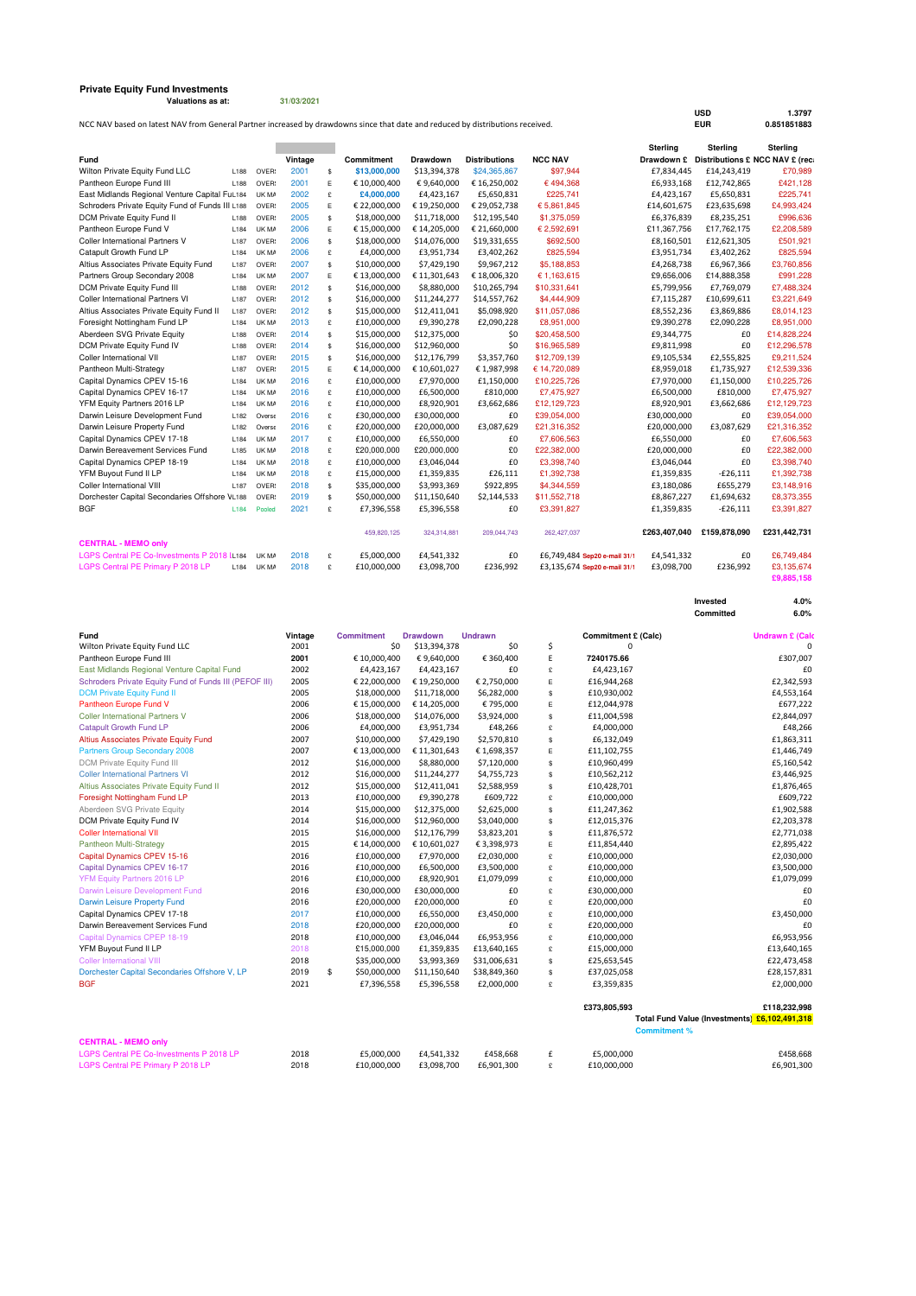## **Private Equity Fund Investments Valuations as at: 31/03/2021**

NCC NAV based on latest NAV from General Partner increased by drawdowns since that date and reduced by distributions received.

|                                                 |      |        |         |    |              |                 |                      |                              | <b>Sterling</b> | <b>Sterling</b>                            | <b>Sterling</b> |
|-------------------------------------------------|------|--------|---------|----|--------------|-----------------|----------------------|------------------------------|-----------------|--------------------------------------------|-----------------|
| Fund                                            |      |        | Vintage |    | Commitment   | <b>Drawdown</b> | <b>Distributions</b> | <b>NCC NAV</b>               |                 | Drawdown £ Distributions £ NCC NAV £ (rec. |                 |
| Wilton Private Equity Fund LLC                  | L188 | OVER:  | 2001    | \$ | \$13,000,000 | \$13,394,378    | \$24,365,867         | \$97.944                     | £7,834,445      | £14,243,419                                | £70,989         |
| Pantheon Europe Fund III                        | L188 | OVER:  | 2001    | E  | € 10,000,400 | €9,640,000      | € 16,250,002         | €494,368                     | £6,933,168      | £12,742,865                                | £421,128        |
| East Midlands Regional Venture Capital FuL184   |      | UK MA  | 2002    | £  | £4,000,000   | £4,423,167      | £5,650,831           | £225,741                     | £4,423,167      | £5,650,831                                 | £225,741        |
| Schroders Private Equity Fund of Funds III L188 |      | OVER:  | 2005    | Е  | € 22,000,000 | €19,250,000     | € 29,052,738         | € 5,861,845                  | £14,601,675     | £23,635,698                                | £4,993,424      |
| DCM Private Equity Fund II                      | L188 | OVER:  | 2005    | \$ | \$18,000,000 | \$11,718,000    | \$12,195,540         | \$1,375,059                  | £6.376.839      | £8,235,251                                 | £996.636        |
| Pantheon Europe Fund V                          | L184 | UK MA  | 2006    | E  | €15.000.000  | €14,205,000     | € 21,660,000         | € 2.592.691                  | £11,367,756     | £17,762,175                                | £2,208,589      |
| <b>Coller International Partners V</b>          | L187 | OVER:  | 2006    | \$ | \$18,000,000 | \$14,076,000    | \$19,331,655         | \$692,500                    | £8,160,501      | £12,621,305                                | £501,921        |
| Catapult Growth Fund LP                         | L184 | UK MA  | 2006    | £  | £4,000,000   | £3,951,734      | £3,402,262           | £825,594                     | £3,951,734      | £3,402,262                                 | £825,594        |
| Altius Associates Private Equity Fund           | L187 | OVER:  | 2007    | \$ | \$10,000,000 | \$7,429,190     | \$9,967,212          | \$5,188,853                  | £4,268,738      | £6,967,366                                 | £3,760,856      |
| Partners Group Secondary 2008                   | L184 | UK MA  | 2007    | E  | €13,000,000  | €11,301,643     | €18,006,320          | € 1,163,615                  | £9,656,006      | £14,888,358                                | £991.228        |
| DCM Private Equity Fund III                     | L188 | OVER:  | 2012    | \$ | \$16,000,000 | \$8,880,000     | \$10,265,794         | \$10,331,641                 | £5,799,956      | £7,769,079                                 | £7,488,324      |
| Coller International Partners VI                | L187 | OVER:  | 2012    | \$ | \$16,000,000 | \$11,244,277    | \$14,557,762         | \$4,444,909                  | £7,115,287      | £10,699,611                                | £3,221,649      |
| Altius Associates Private Equity Fund II        | L187 | OVER:  | 2012    | \$ | \$15,000,000 | \$12,411,041    | \$5,098,920          | \$11,057,086                 | £8,552,236      | £3,869,886                                 | £8,014,123      |
| Foresight Nottingham Fund LP                    | L184 | UK MA  | 2013    | £  | £10,000,000  | £9,390,278      | £2,090,228           | £8,951,000                   | £9,390,278      | £2,090,228                                 | £8,951,000      |
| Aberdeen SVG Private Equity                     | L188 | OVER:  | 2014    | \$ | \$15,000,000 | \$12,375,000    | \$0                  | \$20,458,500                 | £9,344,775      | £0                                         | £14,828,224     |
| DCM Private Equity Fund IV                      | L188 | OVER:  | 2014    | \$ | \$16,000,000 | \$12,960,000    | \$0                  | \$16,965,589                 | £9,811,998      | £0                                         | £12,296,578     |
| Coller International VII                        | L187 | OVER:  | 2015    | \$ | \$16,000,000 | \$12,176,799    | \$3,357,760          | \$12,709.139                 | £9,105,534      | £2,555,825                                 | £9,211,524      |
| Pantheon Multi-Strategy                         | L187 | OVER:  | 2015    | E  | € 14,000,000 | €10,601,027     | €1,987,998           | € 14.720.089                 | £8,959,018      | £1,735,927                                 | £12,539,336     |
| Capital Dynamics CPEV 15-16                     | L184 | UK MA  | 2016    | £  | £10,000,000  | £7,970,000      | £1,150,000           | £10,225,726                  | £7,970,000      | £1,150,000                                 | £10,225,726     |
| Capital Dynamics CPEV 16-17                     | L184 | UK MA  | 2016    | £  | £10,000,000  | £6,500,000      | £810,000             | £7,475,927                   | £6,500,000      | £810,000                                   | £7,475,927      |
| YFM Equity Partners 2016 LP                     | L184 | UK MA  | 2016    | £  | £10,000,000  | £8,920,901      | £3,662,686           | £12,129,723                  | £8,920,901      | £3,662,686                                 | £12,129,723     |
| Darwin Leisure Development Fund                 | L182 | Overse | 2016    | £  | £30,000,000  | £30,000,000     | £0                   | £39,054,000                  | £30,000,000     | £0                                         | £39,054,000     |
| Darwin Leisure Property Fund                    | L182 | Overse | 2016    | £  | £20,000,000  | £20,000,000     | £3.087.629           | £21.316.352                  | £20,000,000     | £3.087.629                                 | £21.316.352     |
| Capital Dynamics CPEV 17-18                     | L184 | UK MA  | 2017    | £  | £10,000,000  | £6,550,000      | £0                   | £7,606,563                   | £6,550,000      | £0                                         | £7,606,563      |
| Darwin Bereavement Services Fund                | L185 | UK MA  | 2018    | £  | £20,000,000  | £20,000,000     | £0                   | £22,382,000                  | £20,000,000     | £0                                         | £22,382,000     |
| Capital Dynamics CPEP 18-19                     | L184 | UK MA  | 2018    | £  | £10.000.000  | £3,046,044      | £0                   | £3,398,740                   | £3,046,044      | £0                                         | £3.398.740      |
| YFM Buyout Fund II LP                           | L184 | UK MA  | 2018    | £  | £15,000,000  | £1,359,835      | £26,111              | £1.392.738                   | £1,359,835      | $-£26,111$                                 | £1,392,738      |
| Coller International VIII                       | L187 | OVER:  | 2018    | \$ | \$35,000,000 | \$3,993,369     | \$922,895            | \$4,344,559                  | £3,180,086      | £655,279                                   | £3,148,916      |
| Dorchester Capital Secondaries Offshore \L188   |      | OVER:  | 2019    | \$ | \$50,000,000 | \$11,150,640    | \$2,144,533          | \$11,552,718                 | £8,867,227      | £1,694,632                                 | £8,373,355      |
| <b>BGF</b>                                      | L184 | Pooled | 2021    | £  | £7,396,558   | £5,396,558      | £0                   | £3,391,827                   | £1,359,835      | $-£26,111$                                 | £3,391,827      |
|                                                 |      |        |         |    | 459,820,125  | 324,314,881     | 209,044,743          | 262.427.037                  | £263,407,040    | £159,878,090                               | £231,442,731    |
| <b>CENTRAL - MEMO only</b>                      |      |        |         |    |              |                 |                      |                              |                 |                                            |                 |
| LGPS Central PE Co-Investments P 2018 IL184     |      | UK MA  | 2018    | £  | £5,000,000   | £4,541,332      | £0                   | £6,749,484 Sep20 e-mail 31/1 | £4,541,332      | £0                                         | £6,749,484      |
| LGPS Central PE Primary P 2018 LP               | 184  | UK MA  | 2018    | £  | £10,000,000  | £3,098,700      | £236,992             | £3,135,674 Sep20 e-mail 31/1 | £3,098,700      | £236.992                                   | £3,135,674      |
|                                                 |      |        |         |    |              |                 |                      |                              |                 |                                            | £9,885,158      |

**Invested** 4.0%<br>Committed 6.0%

**Committed 6.0%**

**USD 1.3797**

| Fund                                                   | Vintage | <b>Commitment</b>  | <b>Drawdown</b> | <b>Undrawn</b> |    | <b>Commitment £ (Calc)</b> | <b>Undrawn £ (Cald</b>                        |
|--------------------------------------------------------|---------|--------------------|-----------------|----------------|----|----------------------------|-----------------------------------------------|
| Wilton Private Equity Fund LLC                         | 2001    | \$0                | \$13,394,378    | \$0            | \$ | 0                          | 0                                             |
| Pantheon Europe Fund III                               | 2001    | € 10,000,400       | €9,640,000      | € 360,400      | E  | 7240175.66                 | £307,007                                      |
| East Midlands Regional Venture Capital Fund            | 2002    | £4,423,167         | £4,423,167      | £0             | £  | £4,423,167                 | £0                                            |
| Schroders Private Equity Fund of Funds III (PEFOF III) | 2005    | € 22,000,000       | €19,250,000     | € 2,750,000    | E  | £16,944,268                | £2,342,593                                    |
| <b>DCM Private Equity Fund II</b>                      | 2005    | \$18,000,000       | \$11,718,000    | \$6,282,000    | s  | £10,930,002                | £4,553,164                                    |
| Pantheon Europe Fund V                                 | 2006    | € 15,000,000       | €14,205,000     | €795,000       | Ε  | £12,044,978                | £677,222                                      |
| <b>Coller International Partners V</b>                 | 2006    | \$18,000,000       | \$14,076,000    | \$3,924,000    | \$ | £11,004,598                | £2,844,097                                    |
| Catapult Growth Fund LP                                | 2006    | £4,000,000         | £3,951,734      | £48,266        | £  | £4,000,000                 | £48,266                                       |
| Altius Associates Private Equity Fund                  | 2007    | \$10,000,000       | \$7,429,190     | \$2,570,810    | \$ | £6,132,049                 | £1,863,311                                    |
| <b>Partners Group Secondary 2008</b>                   | 2007    | € 13,000,000       | €11,301,643     | € 1,698,357    | E  | £11,102,755                | £1,446,749                                    |
| DCM Private Equity Fund III                            | 2012    | \$16,000,000       | \$8,880,000     | \$7,120,000    | \$ | £10,960,499                | £5,160,542                                    |
| <b>Coller International Partners VI</b>                | 2012    | \$16,000,000       | \$11,244,277    | \$4,755,723    | s  | £10,562,212                | £3,446,925                                    |
| Altius Associates Private Equity Fund II               | 2012    | \$15,000,000       | \$12,411,041    | \$2,588,959    | \$ | £10,428,701                | £1,876,465                                    |
| Foresight Nottingham Fund LP                           | 2013    | £10,000,000        | £9,390,278      | £609,722       | £  | £10,000,000                | £609,722                                      |
| Aberdeen SVG Private Equity                            | 2014    | \$15,000,000       | \$12,375,000    | \$2,625,000    | \$ | £11,247,362                | £1,902,588                                    |
| DCM Private Equity Fund IV                             | 2014    | \$16,000,000       | \$12,960,000    | \$3,040,000    | \$ | £12,015,376                | £2,203,378                                    |
| <b>Coller International VII</b>                        | 2015    | \$16,000,000       | \$12,176,799    | \$3,823,201    | s  | £11,876,572                | £2,771,038                                    |
| Pantheon Multi-Strategy                                | 2015    | € 14,000,000       | €10,601,027     | €3,398,973     | Ε  | £11,854,440                | £2,895,422                                    |
| Capital Dynamics CPEV 15-16                            | 2016    | £10,000,000        | £7,970,000      | £2,030,000     | £  | £10,000,000                | £2,030,000                                    |
| Capital Dynamics CPEV 16-17                            | 2016    | £10,000,000        | £6,500,000      | £3,500,000     | £  | £10,000,000                | £3,500,000                                    |
| <b>YFM Equity Partners 2016 LP</b>                     | 2016    | £10,000,000        | £8,920,901      | £1,079,099     | £  | £10,000,000                | £1,079,099                                    |
| Darwin Leisure Development Fund                        | 2016    | £30,000,000        | £30,000,000     | £0             | £  | £30,000,000                | £0                                            |
| Darwin Leisure Property Fund                           | 2016    | £20,000,000        | £20,000,000     | £0             | £  | £20,000,000                | £0                                            |
| Capital Dynamics CPEV 17-18                            | 2017    | £10,000,000        | £6,550,000      | £3,450,000     | £  | £10,000,000                | £3,450,000                                    |
| Darwin Bereavement Services Fund                       | 2018    | £20,000,000        | £20,000,000     | £0             | £  | £20,000,000                | £0                                            |
| <b>Capital Dynamics CPEP 18-19</b>                     | 2018    | £10,000,000        | £3,046,044      | £6,953,956     | £  | £10,000,000                | £6,953,956                                    |
| YFM Buyout Fund II LP                                  | 2018    | £15,000,000        | £1,359,835      | £13,640,165    | £  | £15,000,000                | £13,640,165                                   |
| <b>Coller International VIII</b>                       | 2018    | \$35,000,000       | \$3,993,369     | \$31,006,631   | s  | £25,653,545                | £22,473,458                                   |
| Dorchester Capital Secondaries Offshore V, LP          | 2019    | \$<br>\$50,000,000 | \$11,150,640    | \$38,849,360   | \$ | £37,025,058                | £28,157,831                                   |
| <b>BGF</b>                                             | 2021    | £7,396,558         | £5,396,558      | £2,000,000     | £  | £3,359,835                 | £2,000,000                                    |
|                                                        |         |                    |                 |                |    | £373,805,593               | £118,232,998                                  |
|                                                        |         |                    |                 |                |    |                            | Total Fund Value (Investments) £6,102,491,318 |
|                                                        |         |                    |                 |                |    |                            | <b>Commitment %</b>                           |
| <b>CENTRAL - MEMO only</b>                             |         |                    |                 |                |    |                            |                                               |
| LGPS Central PE Co-Investments P 2018 LP               | 2018    | £5,000,000         | £4,541,332      | £458,668       | £  | £5,000,000                 | £458.668                                      |
| LGPS Central PE Primary P 2018 LP                      | 2018    | £10,000,000        | £3,098,700      | £6,901,300     | £  | £10,000,000                | £6,901,300                                    |
|                                                        |         |                    |                 |                |    |                            |                                               |